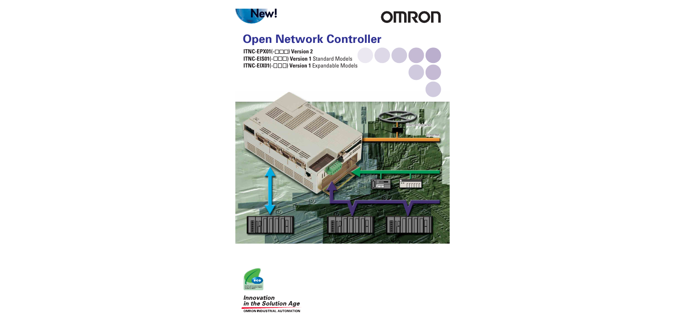

# **OMRON**

# **Open Network Controller**

**ITNC-EPX01(-OOO) Version 2 ITNC-EIS01(-OOO) Version 1 Standard Models ITNC-EIX01(-ODD) Version 1 Expandable Models** 





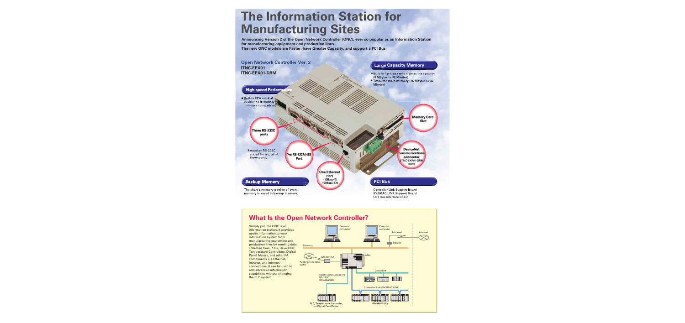# **The Information Station for Manufacturing Sites**

**Announcing Version 2 of the Open Network Controller (ONC), ever so popular as an Information Station for manufacturing equipment and production lines. The new ONC models are Faster, have Greater Capacity, and support a PCI Bus.**



# **What Is the Open Network Controller?**



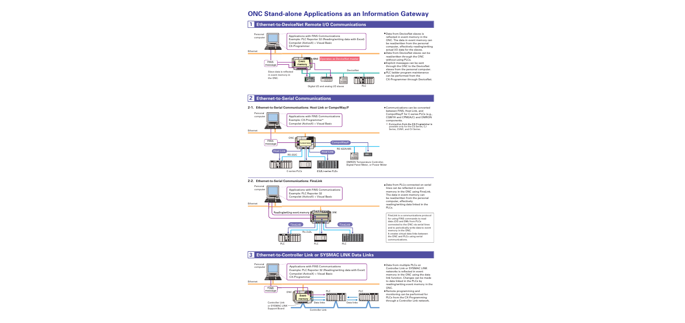# **ONC Stand-alone Applications as an Information Gateway**

#### **Ethernet-to-DeviceNet Remote I/O Communications 1**



- Data from DeviceNet slaves is reflected in event memory in the ONC. The data in event memory can be read/written from the personal computer, effectively reading/writing actual I/O data for the slaves.
- Data from DeviceNet slaves can be read/written through the ONC without using PLCs.
- Explicit messages can be sent through the ONC to the DeviceNet slaves from the personal computer.
- PLC ladder program maintenance can be performed from the CX-Programmer through DeviceNet.

Communications can be converted

#### **Ethernet-to-Serial Communications 2**

## **Ethernet-to-Serial Communications: Host Link or CompoWay/F 2-1.**



# Series, CVM1, and CV Series.

## **Ethernet-to-Serial Communications: FinsLink 2-2.**



#### **Ethernet-to-Controller Link or SYSMAC LINK Data Links 3**



- Data from multiple PLCs on Controller Link or SYSMAC LINK networks is reflected in event memory in the ONC using the data link function. Changes can be made to data linked in the PLCs by reading/writing event memory in the ONC.
- Remote programming and monitoring can be performed for PLCs from the CX-Programming through a Controller Link network.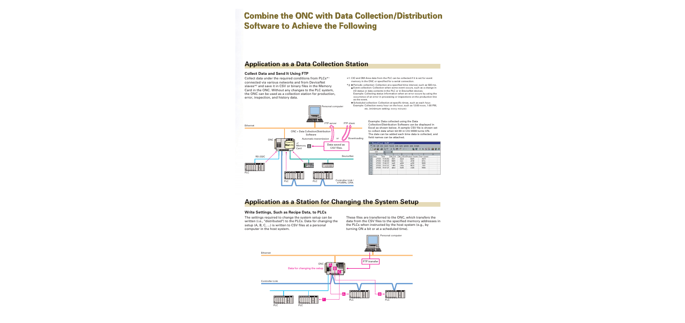# **Combine the ONC with Data Collection/Distribution Software to Achieve the Following Software to Achieve the Following**

# **Application as a Data Collection Station**

## **Collect Data and Send It Using FTP**

Collect data under the required conditions from PLCs<sup>\*1</sup> connected via various networks and from DeviceNet slaves\*2 and save it in CSV or binary files in the Memory Card in the ONC. Without any changes to the PLC system, the ONC can be used as a collection station for production, error, inspection, and history data.



\*1: CIO and DM Area data from the PLC can be collected if it is set for event memory in the ONC or specified for a serial connection.

- \* Periodic collection: Collection at a specified time interval, such as 500 ms. Event collection: Collection when some event occurs, such as a change in I/O status or data contents in the PLC or in DeviceNet devices. Example: Collecting status information when an error occurs by using the
	- occurrence of an error in processing or inspections on the production line as the event. ● Scheduled collection: Collection at specific times, such as each hour
	- Example: Collection every hour on the hour, such as 12:00 noon, 1:00 PM, etc. (minimum setting: every minute)

Example: Data collected using the Data Collection/Distribution Software can be displayed in Excel as shown below. A sample CSV file is shown set to collect data when bit 00 in CIO 0000 turns ON. The date can be added each time data is collected, and

| n              | <b>BB</b> | <b>ART</b> | 黒        | 脑腺ぐ  | 隐容<br>$\mathbf{C}$ + $\mathbf{C}$ + $\mathbf{C}$ | ∑ 后 急 る      | 仙<br>쩆 | 码 |
|----------------|-----------|------------|----------|------|--------------------------------------------------|--------------|--------|---|
|                | K20       | ᆔ          | $\equiv$ |      |                                                  |              |        |   |
|                | A         | B          | C        | n    | F                                                |              | G      |   |
|                | Date      | Time       | DM Och   |      | DM 315ch Product Counts                          | Error Counts |        |   |
| $\overline{2}$ | 277/03    | 19:45:56   | c641     | da2d | <b>6b44</b>                                      | 4b79         |        |   |
| 3              | 277/13    | 19:46:06   | 5669     | fa3c | 4728                                             | 672c         |        |   |
| 4              | 27.03     | 19:46:31   | be6f     | a636 | e430                                             | 8605         |        |   |
| 5              | 277/03    | 19:47:01   | 1d65     | 160a | 8813                                             | 741f         |        |   |
| 6              | 277/03    | 19:47:21   | a64d     | 3a35 | c320                                             | 9304         |        |   |
| 7              |           |            |          |      |                                                  |              |        |   |
| 8              |           |            |          |      |                                                  |              |        |   |
| $\alpha$       |           |            |          |      |                                                  |              |        |   |

# **Application as a Station for Changing the System Setup**

## **Write Settings, Such as Recipe Data, to PLCs**

The settings required to change the system setup can be written (i.e., "distributed") to the PLCs. Data for changing the setup (A, B, C, ...) is written to CSV files at a personal computer in the host system.

These files are transferred to the ONC, which transfers the data from the CSV files to the specified memory addresses in the PLCs when instructed by the host system (e.g., by turning ON a bit or at a scheduled time).

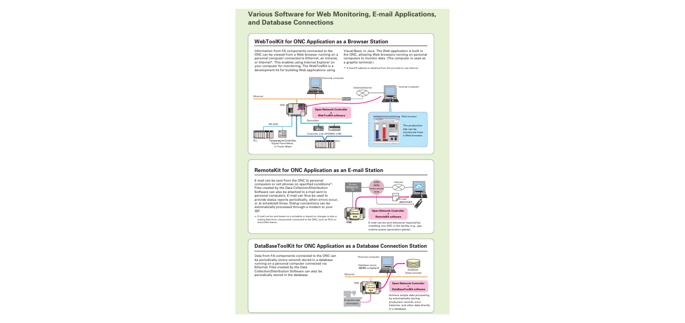# **Various Software for Web Monitoring, E-mail Applications, and Database Connections**

## **WebToolKit for ONC Application as a Browser Station**

Information from FA components connected to the ONC can be viewed from a Web browser running on a personal computer connected to Ethernet, an intranet, or Internet\*. This enables using Internet Explorer on your computer for monitoring. The WebToolKit is a development kit for building Web applications using

Visual Basic or Java. The Web application is built in the ONC, allowing Web browsers running on personal computers to monitor data. (The computer is used as a graphic terminal.)

\*: A fixed IP address is obtained from the provider to use Internet.



## **RemoteKit for ONC Application as an E-mail Station**

E-mail can be sent from the ONC to personal computers or cell phones on specified conditions\*. Files created by the Data Collection/Distribution Software can also be attached to e-mail sent to personal computers. E-mail can thus be used to provide status reports periodically, when errors occur, or at scheduled times. Dialup connections can be automatically processed through a modem to your ISP.

\*: E-mail can be sent based on a schedule or based on changes in bits or analog data from components connected to the ONC, such as PLCs or DeviceNet slaves.



## **DataBaseToolKit for ONC Application as a Database Connection Station**

Data from FA components connected to the ONC can be periodically (every second) stored in a database running on a personal computer connected via Ethernet. Files created by the Data Collection/Distribution Software can also be periodically stored in the database.